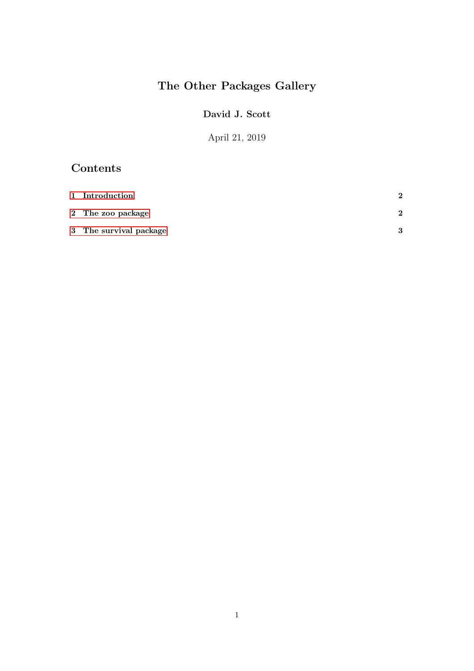# The Other Packages Gallery

#### David J. Scott

April 21, 2019

## Contents

| 1 Introduction         | $\mathbf{\Omega}$ |
|------------------------|-------------------|
| 2 The zoo package      | ົ                 |
| 3 The survival package | $\mathbf{\Omega}$ |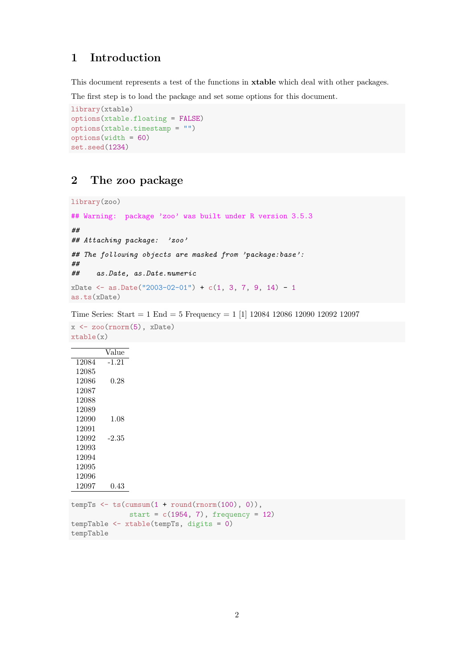#### <span id="page-1-0"></span>1 Introduction

This document represents a test of the functions in xtable which deal with other packages.

The first step is to load the package and set some options for this document.

```
library(xtable)
options(xtable.floating = FALSE)
options(xtable.timestamp = "")
options(width = 60)
set.seed(1234)
```
#### <span id="page-1-1"></span>2 The zoo package

library(zoo)

```
## Warning: package 'zoo' was built under R version 3.5.3
##
## Attaching package: 'zoo'
## The following objects are masked from 'package:base':
##
## as.Date, as.Date.numeric
xDate \leftarrow as.DataFrame("2003-02-01") + c(1, 3, 7, 9, 14) - 1as.ts(xDate)
```
Time Series: Start = 1 End = 5 Frequency = 1 [1] 12084 12086 12090 12092 12097

```
x \leftarrow zoo(rnorm(5), xDate)xtable(x)
         Value
12084 -1.21
 12085
 12086 0.28
 12087
 12088
 12089
 12090 1.08
 12091
 12092 -2.35
 12093
 12094
 12095
 12096
12097 0.43
tempTs \leftarrow ts(cumsum(1 + round(rnorm(100), 0)),
              start = c(1954, 7), frequency = 12)
tempTable <- xtable(tempTs, digits = 0)
tempTable
```